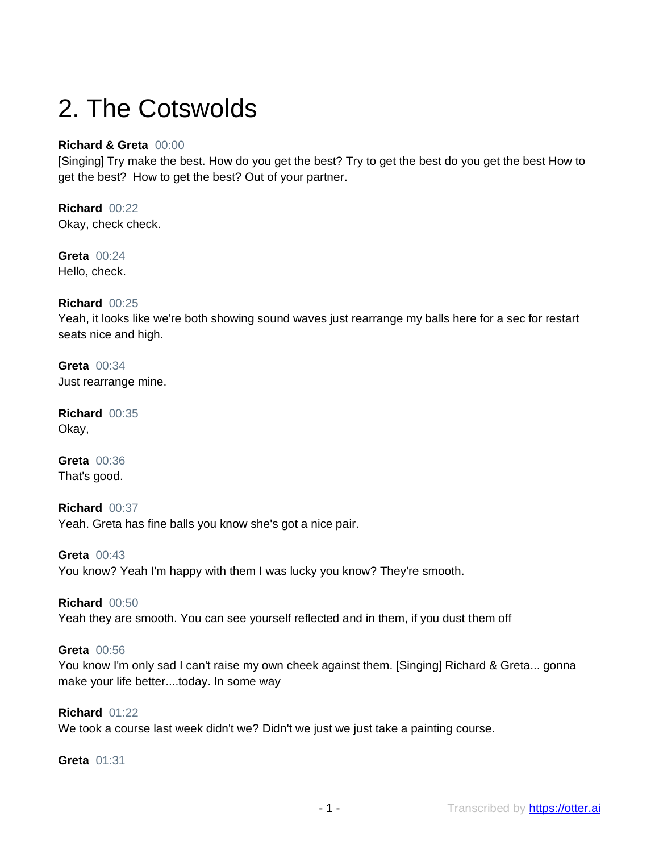# 2. The Cotswolds

# **Richard & Greta** 00:00

[Singing] Try make the best. How do you get the best? Try to get the best do you get the best How to get the best? How to get the best? Out of your partner.

**Richard** 00:22 Okay, check check.

**Greta** 00:24 Hello, check.

# **Richard** 00:25

Yeah, it looks like we're both showing sound waves just rearrange my balls here for a sec for restart seats nice and high.

**Greta** 00:34 Just rearrange mine.

**Richard** 00:35 Okay,

**Greta** 00:36 That's good.

**Richard** 00:37 Yeah. Greta has fine balls you know she's got a nice pair.

**Greta** 00:43 You know? Yeah I'm happy with them I was lucky you know? They're smooth.

**Richard** 00:50 Yeah they are smooth. You can see yourself reflected and in them, if you dust them off

# **Greta** 00:56

You know I'm only sad I can't raise my own cheek against them. [Singing] Richard & Greta... gonna make your life better....today. In some way

# **Richard** 01:22

We took a course last week didn't we? Didn't we just we just take a painting course.

#### **Greta** 01:31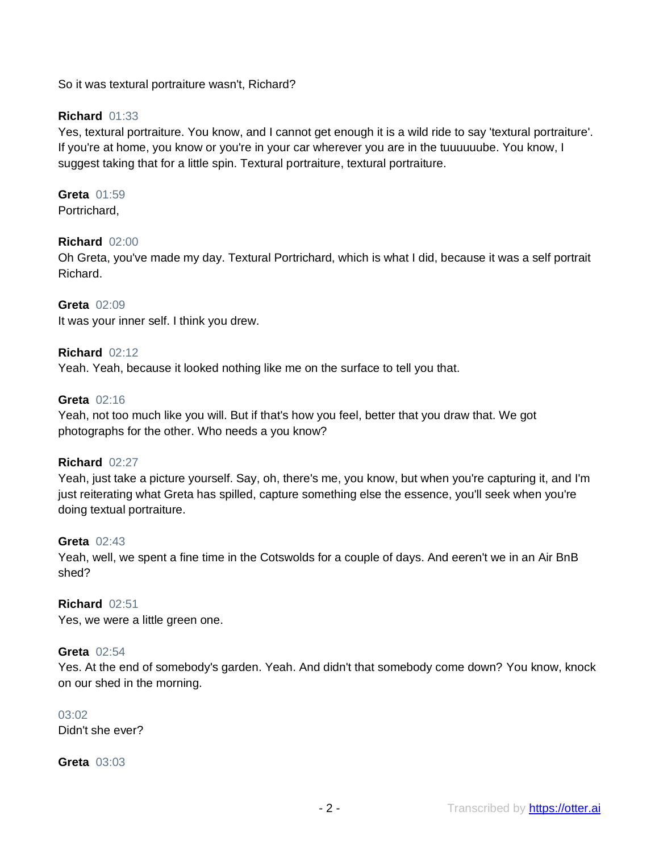So it was textural portraiture wasn't, Richard?

# **Richard** 01:33

Yes, textural portraiture. You know, and I cannot get enough it is a wild ride to say 'textural portraiture'. If you're at home, you know or you're in your car wherever you are in the tuuuuuube. You know, I suggest taking that for a little spin. Textural portraiture, textural portraiture.

# **Greta** 01:59

Portrichard,

# **Richard** 02:00

Oh Greta, you've made my day. Textural Portrichard, which is what I did, because it was a self portrait Richard.

**Greta** 02:09 It was your inner self. I think you drew.

# **Richard** 02:12

Yeah. Yeah, because it looked nothing like me on the surface to tell you that.

#### **Greta** 02:16

Yeah, not too much like you will. But if that's how you feel, better that you draw that. We got photographs for the other. Who needs a you know?

#### **Richard** 02:27

Yeah, just take a picture yourself. Say, oh, there's me, you know, but when you're capturing it, and I'm just reiterating what Greta has spilled, capture something else the essence, you'll seek when you're doing textual portraiture.

#### **Greta** 02:43

Yeah, well, we spent a fine time in the Cotswolds for a couple of days. And eeren't we in an Air BnB shed?

# **Richard** 02:51

Yes, we were a little green one.

#### **Greta** 02:54

Yes. At the end of somebody's garden. Yeah. And didn't that somebody come down? You know, knock on our shed in the morning.

#### $03:02$

Didn't she ever?

**Greta** 03:03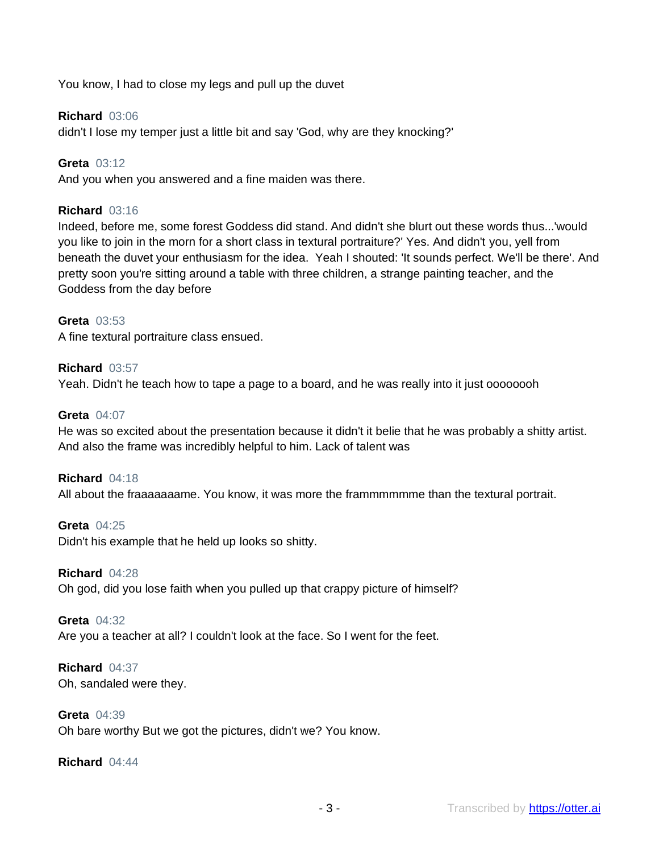You know, I had to close my legs and pull up the duvet

# **Richard** 03:06

didn't I lose my temper just a little bit and say 'God, why are they knocking?'

**Greta** 03:12

And you when you answered and a fine maiden was there.

# **Richard** 03:16

Indeed, before me, some forest Goddess did stand. And didn't she blurt out these words thus...'would you like to join in the morn for a short class in textural portraiture?' Yes. And didn't you, yell from beneath the duvet your enthusiasm for the idea. Yeah I shouted: 'It sounds perfect. We'll be there'. And pretty soon you're sitting around a table with three children, a strange painting teacher, and the Goddess from the day before

#### **Greta** 03:53

A fine textural portraiture class ensued.

#### **Richard** 03:57

Yeah. Didn't he teach how to tape a page to a board, and he was really into it just oooooooh

#### **Greta** 04:07

He was so excited about the presentation because it didn't it belie that he was probably a shitty artist. And also the frame was incredibly helpful to him. Lack of talent was

#### **Richard** 04:18

All about the fraaaaaaame. You know, it was more the frammmmmme than the textural portrait.

**Greta** 04:25 Didn't his example that he held up looks so shitty.

#### **Richard** 04:28

Oh god, did you lose faith when you pulled up that crappy picture of himself?

#### **Greta** 04:32

Are you a teacher at all? I couldn't look at the face. So I went for the feet.

# **Richard** 04:37

Oh, sandaled were they.

# **Greta** 04:39

Oh bare worthy But we got the pictures, didn't we? You know.

#### **Richard** 04:44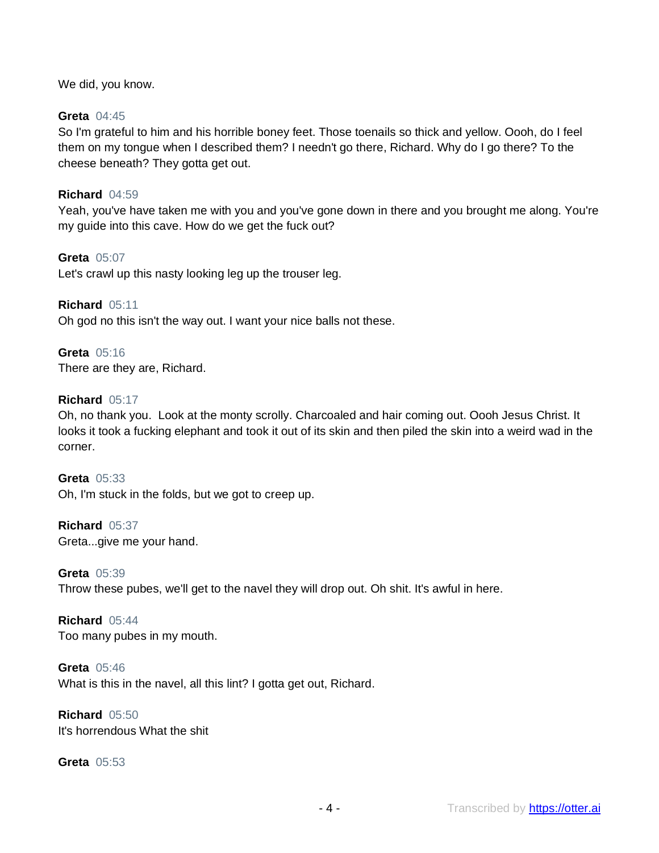We did, you know.

# **Greta** 04:45

So I'm grateful to him and his horrible boney feet. Those toenails so thick and yellow. Oooh, do I feel them on my tongue when I described them? I needn't go there, Richard. Why do I go there? To the cheese beneath? They gotta get out.

#### **Richard** 04:59

Yeah, you've have taken me with you and you've gone down in there and you brought me along. You're my guide into this cave. How do we get the fuck out?

**Greta** 05:07 Let's crawl up this nasty looking leg up the trouser leg.

**Richard** 05:11 Oh god no this isn't the way out. I want your nice balls not these.

**Greta** 05:16 There are they are, Richard.

#### **Richard** 05:17

Oh, no thank you. Look at the monty scrolly. Charcoaled and hair coming out. Oooh Jesus Christ. It looks it took a fucking elephant and took it out of its skin and then piled the skin into a weird wad in the corner.

**Greta** 05:33 Oh, I'm stuck in the folds, but we got to creep up.

**Richard** 05:37 Greta...give me your hand.

**Greta** 05:39 Throw these pubes, we'll get to the navel they will drop out. Oh shit. It's awful in here.

**Richard** 05:44 Too many pubes in my mouth.

**Greta** 05:46 What is this in the navel, all this lint? I gotta get out, Richard.

**Richard** 05:50 It's horrendous What the shit

#### **Greta** 05:53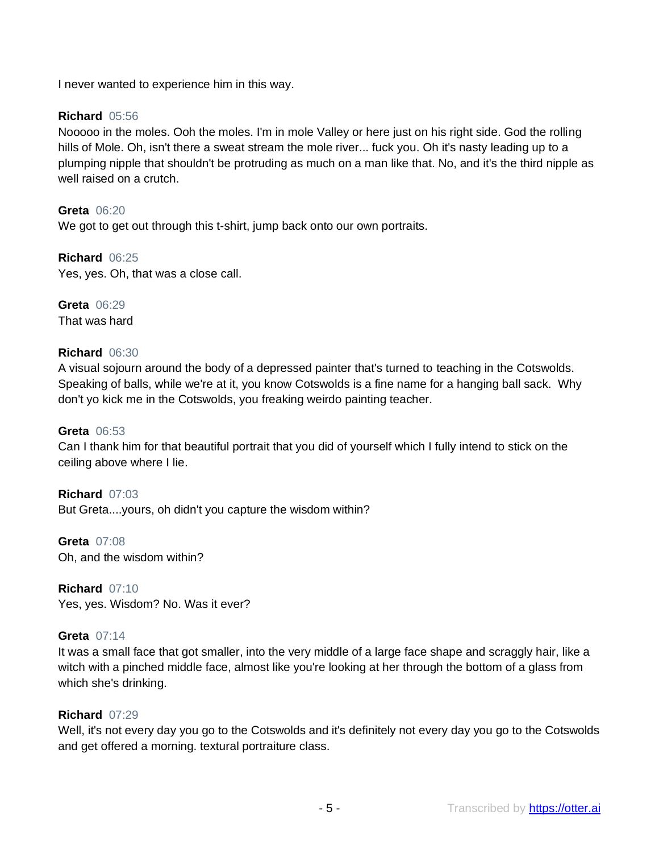I never wanted to experience him in this way.

# **Richard** 05:56

Nooooo in the moles. Ooh the moles. I'm in mole Valley or here just on his right side. God the rolling hills of Mole. Oh, isn't there a sweat stream the mole river... fuck you. Oh it's nasty leading up to a plumping nipple that shouldn't be protruding as much on a man like that. No, and it's the third nipple as well raised on a crutch.

**Greta** 06:20 We got to get out through this t-shirt, jump back onto our own portraits.

**Richard** 06:25 Yes, yes. Oh, that was a close call.

**Greta** 06:29 That was hard

# **Richard** 06:30

A visual sojourn around the body of a depressed painter that's turned to teaching in the Cotswolds. Speaking of balls, while we're at it, you know Cotswolds is a fine name for a hanging ball sack. Why don't yo kick me in the Cotswolds, you freaking weirdo painting teacher.

#### **Greta** 06:53

Can I thank him for that beautiful portrait that you did of yourself which I fully intend to stick on the ceiling above where I lie.

**Richard** 07:03 But Greta....yours, oh didn't you capture the wisdom within?

**Greta** 07:08 Oh, and the wisdom within?

**Richard** 07:10 Yes, yes. Wisdom? No. Was it ever?

# **Greta** 07:14

It was a small face that got smaller, into the very middle of a large face shape and scraggly hair, like a witch with a pinched middle face, almost like you're looking at her through the bottom of a glass from which she's drinking.

# **Richard** 07:29

Well, it's not every day you go to the Cotswolds and it's definitely not every day you go to the Cotswolds and get offered a morning. textural portraiture class.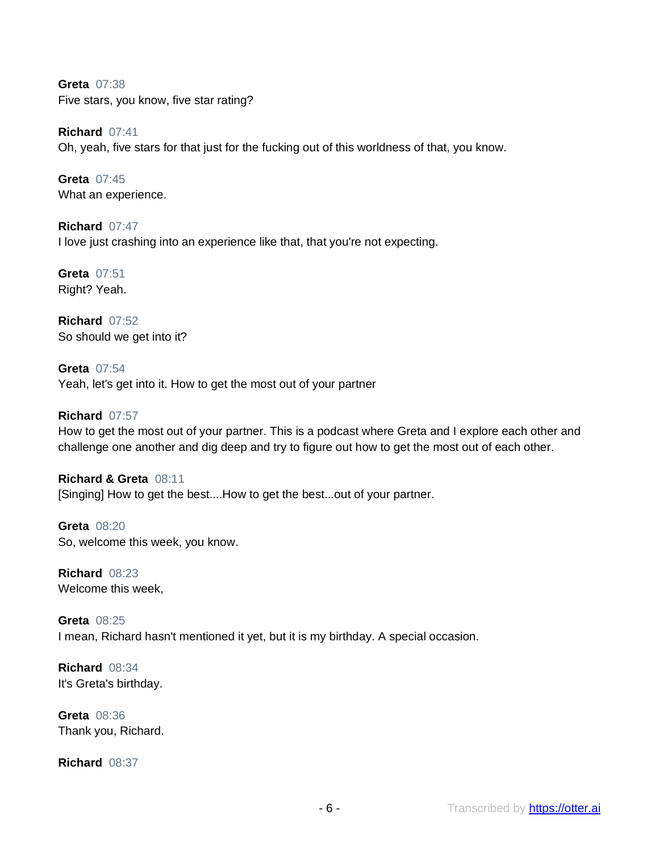**Greta** 07:38 Five stars, you know, five star rating?

**Richard** 07:41 Oh, yeah, five stars for that just for the fucking out of this worldness of that, you know.

**Greta** 07:45 What an experience.

**Richard** 07:47 I love just crashing into an experience like that, that you're not expecting.

**Greta** 07:51 Right? Yeah.

**Richard** 07:52 So should we get into it?

**Greta** 07:54 Yeah, let's get into it. How to get the most out of your partner

**Richard** 07:57

How to get the most out of your partner. This is a podcast where Greta and I explore each other and challenge one another and dig deep and try to figure out how to get the most out of each other.

**Richard & Greta** 08:11 [Singing] How to get the best....How to get the best...out of your partner.

**Greta** 08:20 So, welcome this week, you know.

**Richard** 08:23 Welcome this week,

**Greta** 08:25 I mean, Richard hasn't mentioned it yet, but it is my birthday. A special occasion.

**Richard** 08:34 It's Greta's birthday.

**Greta** 08:36 Thank you, Richard.

**Richard** 08:37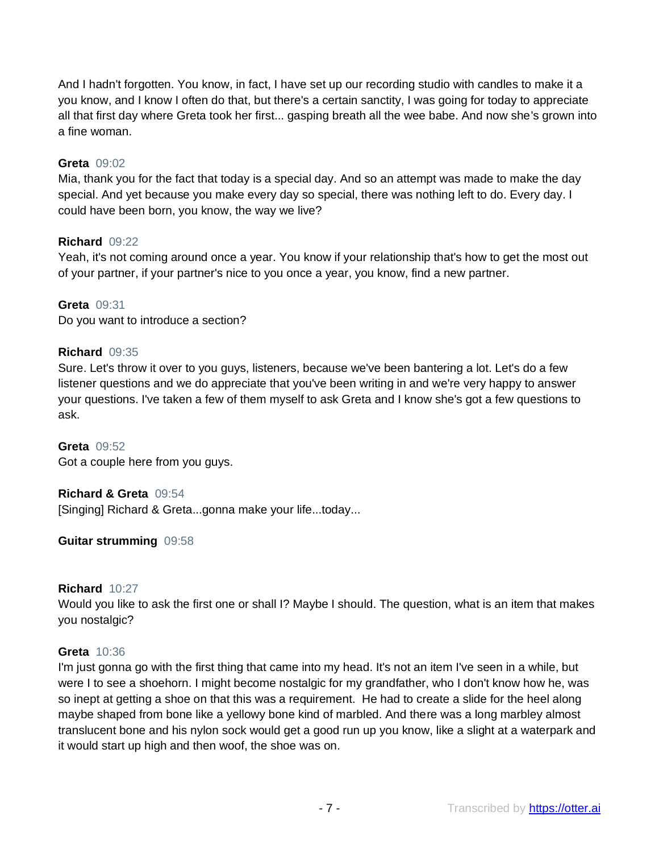And I hadn't forgotten. You know, in fact, I have set up our recording studio with candles to make it a you know, and I know I often do that, but there's a certain sanctity, I was going for today to appreciate all that first day where Greta took her first... gasping breath all the wee babe. And now she's grown into a fine woman.

# **Greta** 09:02

Mia, thank you for the fact that today is a special day. And so an attempt was made to make the day special. And yet because you make every day so special, there was nothing left to do. Every day. I could have been born, you know, the way we live?

# **Richard** 09:22

Yeah, it's not coming around once a year. You know if your relationship that's how to get the most out of your partner, if your partner's nice to you once a year, you know, find a new partner.

# **Greta** 09:31

Do you want to introduce a section?

# **Richard** 09:35

Sure. Let's throw it over to you guys, listeners, because we've been bantering a lot. Let's do a few listener questions and we do appreciate that you've been writing in and we're very happy to answer your questions. I've taken a few of them myself to ask Greta and I know she's got a few questions to ask.

#### **Greta** 09:52

Got a couple here from you guys.

# **Richard & Greta** 09:54

[Singing] Richard & Greta...gonna make your life...today...

# **Guitar strumming** 09:58

# **Richard** 10:27

Would you like to ask the first one or shall I? Maybe I should. The question, what is an item that makes you nostalgic?

# **Greta** 10:36

I'm just gonna go with the first thing that came into my head. It's not an item I've seen in a while, but were I to see a shoehorn. I might become nostalgic for my grandfather, who I don't know how he, was so inept at getting a shoe on that this was a requirement. He had to create a slide for the heel along maybe shaped from bone like a yellowy bone kind of marbled. And there was a long marbley almost translucent bone and his nylon sock would get a good run up you know, like a slight at a waterpark and it would start up high and then woof, the shoe was on.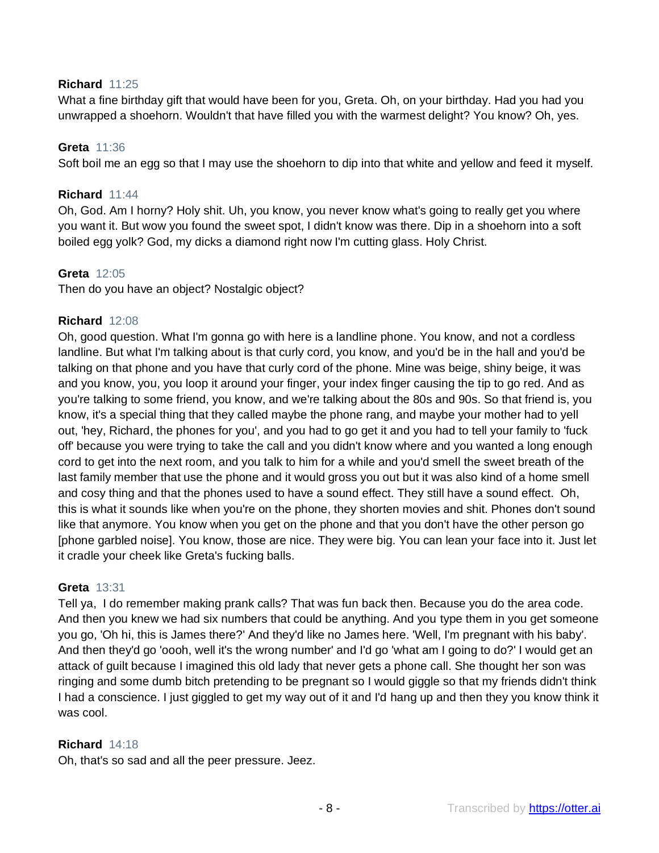# **Richard** 11:25

What a fine birthday gift that would have been for you, Greta. Oh, on your birthday. Had you had you unwrapped a shoehorn. Wouldn't that have filled you with the warmest delight? You know? Oh, yes.

# **Greta** 11:36

Soft boil me an egg so that I may use the shoehorn to dip into that white and yellow and feed it myself.

# **Richard** 11:44

Oh, God. Am I horny? Holy shit. Uh, you know, you never know what's going to really get you where you want it. But wow you found the sweet spot, I didn't know was there. Dip in a shoehorn into a soft boiled egg yolk? God, my dicks a diamond right now I'm cutting glass. Holy Christ.

# **Greta** 12:05

Then do you have an object? Nostalgic object?

# **Richard** 12:08

Oh, good question. What I'm gonna go with here is a landline phone. You know, and not a cordless landline. But what I'm talking about is that curly cord, you know, and you'd be in the hall and you'd be talking on that phone and you have that curly cord of the phone. Mine was beige, shiny beige, it was and you know, you, you loop it around your finger, your index finger causing the tip to go red. And as you're talking to some friend, you know, and we're talking about the 80s and 90s. So that friend is, you know, it's a special thing that they called maybe the phone rang, and maybe your mother had to yell out, 'hey, Richard, the phones for you', and you had to go get it and you had to tell your family to 'fuck off' because you were trying to take the call and you didn't know where and you wanted a long enough cord to get into the next room, and you talk to him for a while and you'd smell the sweet breath of the last family member that use the phone and it would gross you out but it was also kind of a home smell and cosy thing and that the phones used to have a sound effect. They still have a sound effect. Oh, this is what it sounds like when you're on the phone, they shorten movies and shit. Phones don't sound like that anymore. You know when you get on the phone and that you don't have the other person go [phone garbled noise]. You know, those are nice. They were big. You can lean your face into it. Just let it cradle your cheek like Greta's fucking balls.

# **Greta** 13:31

Tell ya, I do remember making prank calls? That was fun back then. Because you do the area code. And then you knew we had six numbers that could be anything. And you type them in you get someone you go, 'Oh hi, this is James there?' And they'd like no James here. 'Well, I'm pregnant with his baby'. And then they'd go 'oooh, well it's the wrong number' and I'd go 'what am I going to do?' I would get an attack of guilt because I imagined this old lady that never gets a phone call. She thought her son was ringing and some dumb bitch pretending to be pregnant so I would giggle so that my friends didn't think I had a conscience. I just giggled to get my way out of it and I'd hang up and then they you know think it was cool.

# **Richard** 14:18

Oh, that's so sad and all the peer pressure. Jeez.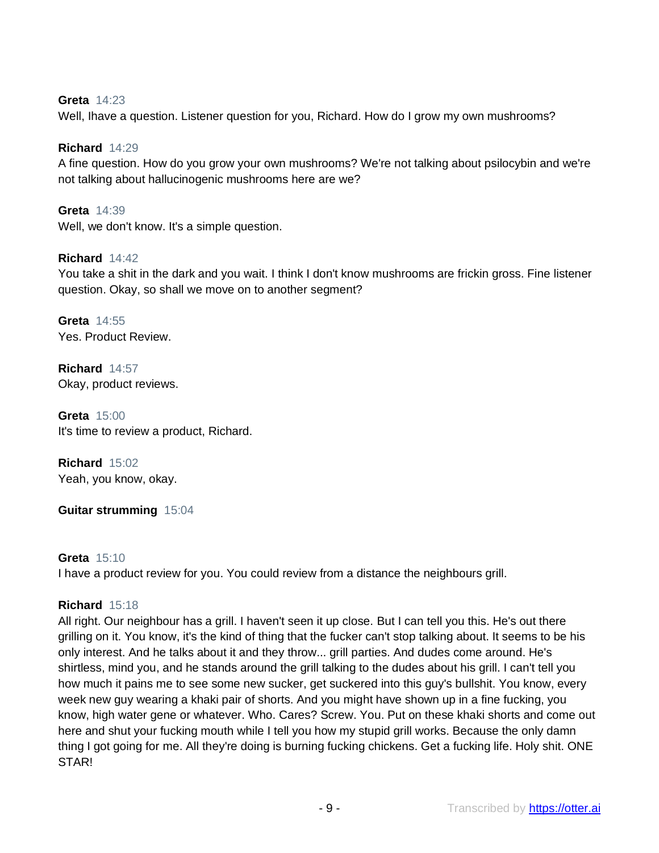# **Greta** 14:23

Well, Ihave a question. Listener question for you, Richard. How do I grow my own mushrooms?

#### **Richard** 14:29

A fine question. How do you grow your own mushrooms? We're not talking about psilocybin and we're not talking about hallucinogenic mushrooms here are we?

**Greta** 14:39 Well, we don't know. It's a simple question.

#### **Richard** 14:42

You take a shit in the dark and you wait. I think I don't know mushrooms are frickin gross. Fine listener question. Okay, so shall we move on to another segment?

**Greta** 14:55 Yes. Product Review.

**Richard** 14:57 Okay, product reviews.

**Greta** 15:00 It's time to review a product, Richard.

**Richard** 15:02 Yeah, you know, okay.

**Guitar strumming** 15:04

#### **Greta** 15:10

I have a product review for you. You could review from a distance the neighbours grill.

#### **Richard** 15:18

All right. Our neighbour has a grill. I haven't seen it up close. But I can tell you this. He's out there grilling on it. You know, it's the kind of thing that the fucker can't stop talking about. It seems to be his only interest. And he talks about it and they throw... grill parties. And dudes come around. He's shirtless, mind you, and he stands around the grill talking to the dudes about his grill. I can't tell you how much it pains me to see some new sucker, get suckered into this guy's bullshit. You know, every week new guy wearing a khaki pair of shorts. And you might have shown up in a fine fucking, you know, high water gene or whatever. Who. Cares? Screw. You. Put on these khaki shorts and come out here and shut your fucking mouth while I tell you how my stupid grill works. Because the only damn thing I got going for me. All they're doing is burning fucking chickens. Get a fucking life. Holy shit. ONE STAR!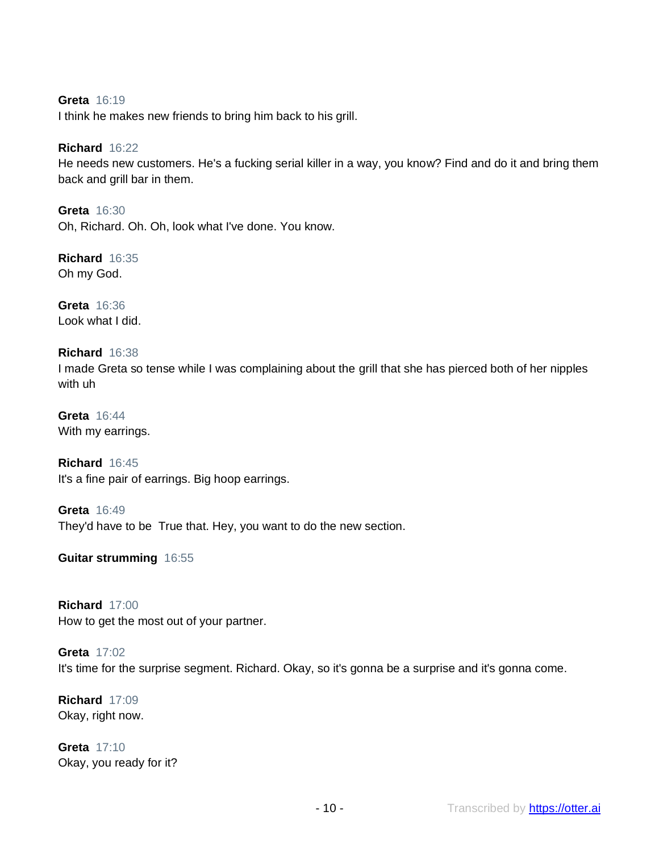#### **Greta** 16:19

I think he makes new friends to bring him back to his grill.

# **Richard** 16:22

He needs new customers. He's a fucking serial killer in a way, you know? Find and do it and bring them back and grill bar in them.

**Greta** 16:30 Oh, Richard. Oh. Oh, look what I've done. You know.

**Richard** 16:35 Oh my God.

**Greta** 16:36 Look what I did.

# **Richard** 16:38

I made Greta so tense while I was complaining about the grill that she has pierced both of her nipples with uh

**Greta** 16:44 With my earrings.

**Richard** 16:45 It's a fine pair of earrings. Big hoop earrings.

**Greta** 16:49 They'd have to be True that. Hey, you want to do the new section.

**Guitar strumming** 16:55

# **Richard** 17:00

How to get the most out of your partner.

# **Greta** 17:02

It's time for the surprise segment. Richard. Okay, so it's gonna be a surprise and it's gonna come.

**Richard** 17:09 Okay, right now.

**Greta** 17:10 Okay, you ready for it?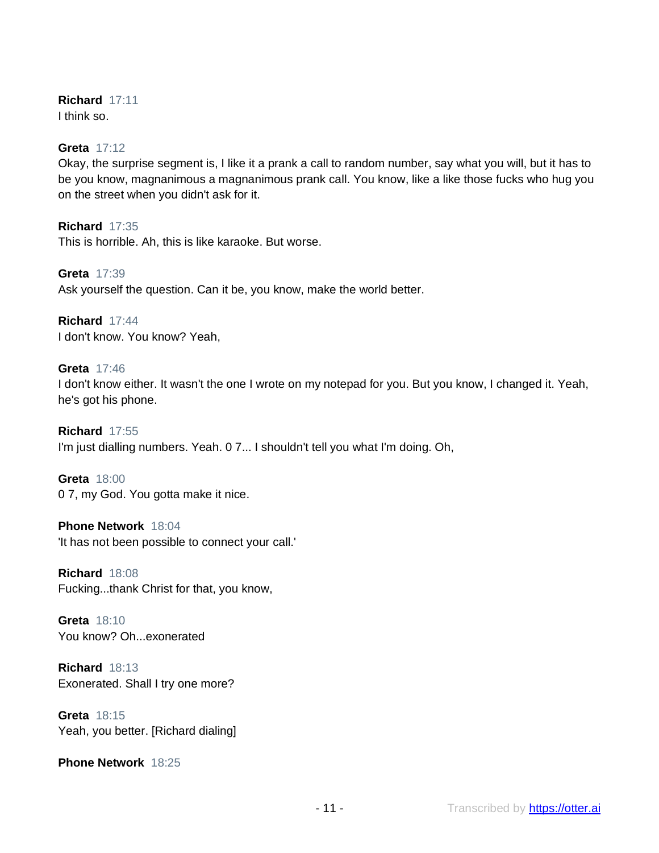# **Richard** 17:11

I think so.

# **Greta** 17:12

Okay, the surprise segment is, I like it a prank a call to random number, say what you will, but it has to be you know, magnanimous a magnanimous prank call. You know, like a like those fucks who hug you on the street when you didn't ask for it.

**Richard** 17:35 This is horrible. Ah, this is like karaoke. But worse.

**Greta** 17:39 Ask yourself the question. Can it be, you know, make the world better.

**Richard** 17:44 I don't know. You know? Yeah,

# **Greta** 17:46

I don't know either. It wasn't the one I wrote on my notepad for you. But you know, I changed it. Yeah, he's got his phone.

**Richard** 17:55 I'm just dialling numbers. Yeah. 0 7... I shouldn't tell you what I'm doing. Oh,

**Greta** 18:00 0 7, my God. You gotta make it nice.

**Phone Network** 18:04 'It has not been possible to connect your call.'

**Richard** 18:08 Fucking...thank Christ for that, you know,

**Greta** 18:10 You know? Oh...exonerated

**Richard** 18:13 Exonerated. Shall I try one more?

**Greta** 18:15 Yeah, you better. [Richard dialing]

**Phone Network** 18:25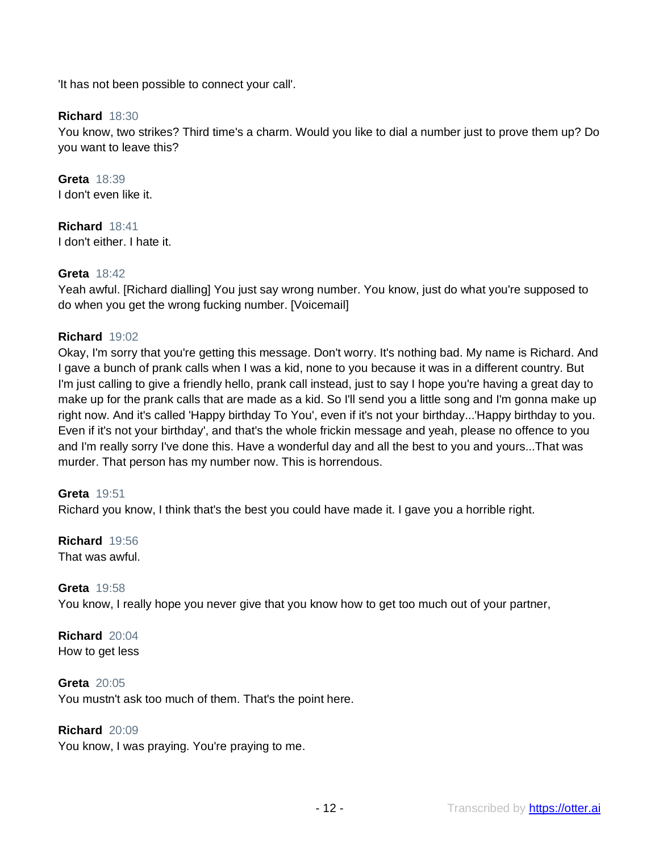'It has not been possible to connect your call'.

# **Richard** 18:30

You know, two strikes? Third time's a charm. Would you like to dial a number just to prove them up? Do you want to leave this?

**Greta** 18:39 I don't even like it.

**Richard** 18:41 I don't either. I hate it.

# **Greta** 18:42

Yeah awful. [Richard dialling] You just say wrong number. You know, just do what you're supposed to do when you get the wrong fucking number. [Voicemail]

# **Richard** 19:02

Okay, I'm sorry that you're getting this message. Don't worry. It's nothing bad. My name is Richard. And I gave a bunch of prank calls when I was a kid, none to you because it was in a different country. But I'm just calling to give a friendly hello, prank call instead, just to say I hope you're having a great day to make up for the prank calls that are made as a kid. So I'll send you a little song and I'm gonna make up right now. And it's called 'Happy birthday To You', even if it's not your birthday...'Happy birthday to you. Even if it's not your birthday', and that's the whole frickin message and yeah, please no offence to you and I'm really sorry I've done this. Have a wonderful day and all the best to you and yours...That was murder. That person has my number now. This is horrendous.

# **Greta** 19:51

Richard you know, I think that's the best you could have made it. I gave you a horrible right.

# **Richard** 19:56

That was awful.

# **Greta** 19:58

You know, I really hope you never give that you know how to get too much out of your partner,

**Richard** 20:04 How to get less

#### **Greta** 20:05

You mustn't ask too much of them. That's the point here.

#### **Richard** 20:09

You know, I was praying. You're praying to me.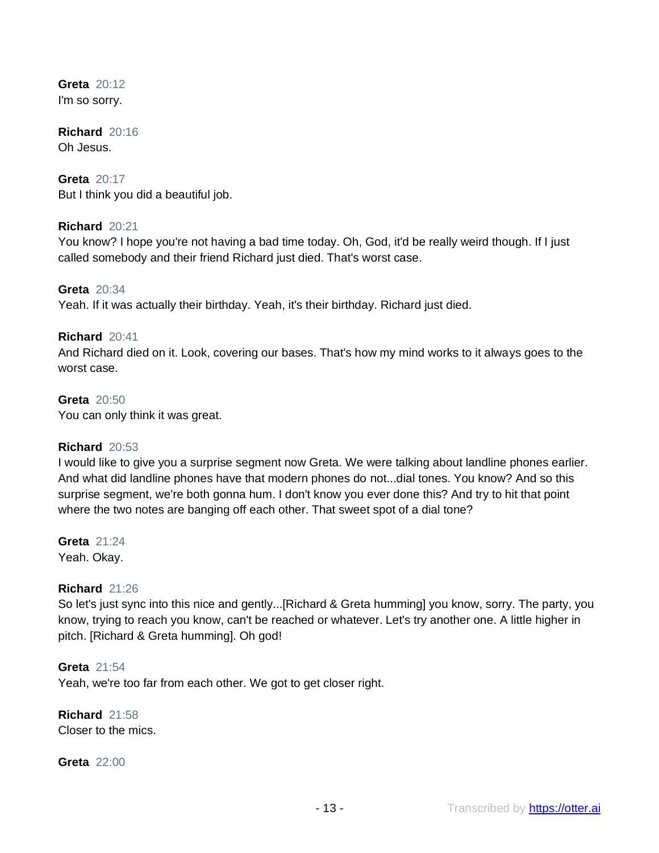**Greta** 20:12 I'm so sorry.

**Richard** 20:16 Oh Jesus.

**Greta** 20:17 But I think you did a beautiful job.

#### **Richard** 20:21

You know? I hope you're not having a bad time today. Oh, God, it'd be really weird though. If I just called somebody and their friend Richard just died. That's worst case.

**Greta** 20:34

Yeah. If it was actually their birthday. Yeah, it's their birthday. Richard just died.

#### **Richard** 20:41

And Richard died on it. Look, covering our bases. That's how my mind works to it always goes to the worst case.

#### **Greta** 20:50

You can only think it was great.

#### **Richard** 20:53

I would like to give you a surprise segment now Greta. We were talking about landline phones earlier. And what did landline phones have that modern phones do not...dial tones. You know? And so this surprise segment, we're both gonna hum. I don't know you ever done this? And try to hit that point where the two notes are banging off each other. That sweet spot of a dial tone?

**Greta** 21:24 Yeah. Okay.

#### **Richard** 21:26

So let's just sync into this nice and gently...[Richard & Greta humming] you know, sorry. The party, you know, trying to reach you know, can't be reached or whatever. Let's try another one. A little higher in pitch. [Richard & Greta humming]. Oh god!

**Greta** 21:54 Yeah, we're too far from each other. We got to get closer right.

**Richard** 21:58 Closer to the mics.

#### **Greta** 22:00